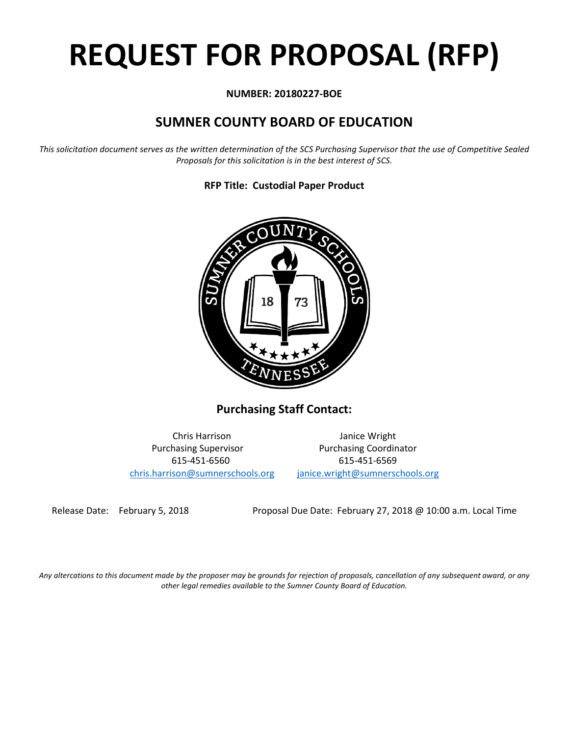# **REQUEST FOR PROPOSAL (RFP)**

# **NUMBER: 20180227-BOE**

# **SUMNER COUNTY BOARD OF EDUCATION**

*This solicitation document serves as the written determination of the SCS Purchasing Supervisor that the use of Competitive Sealed Proposals for this solicitation is in the best interest of SCS.*

**RFP Title: Custodial Paper Product**



**Purchasing Staff Contact:**

[chris.harrison@sumnerschools.org](mailto:chris.harrison@sumnerschools.org) [janice.wright@sumnerschools.org](mailto:janice.wright@sumnerschools.org)

Chris Harrison Janice Wright Purchasing Supervisor **Purchasing Coordinator** 615-451-6560 615-451-6569

Release Date: February 5, 2018 Proposal Due Date: February 27, 2018 @ 10:00 a.m. Local Time

*Any altercations to this document made by the proposer may be grounds for rejection of proposals, cancellation of any subsequent award, or any other legal remedies available to the Sumner County Board of Education.*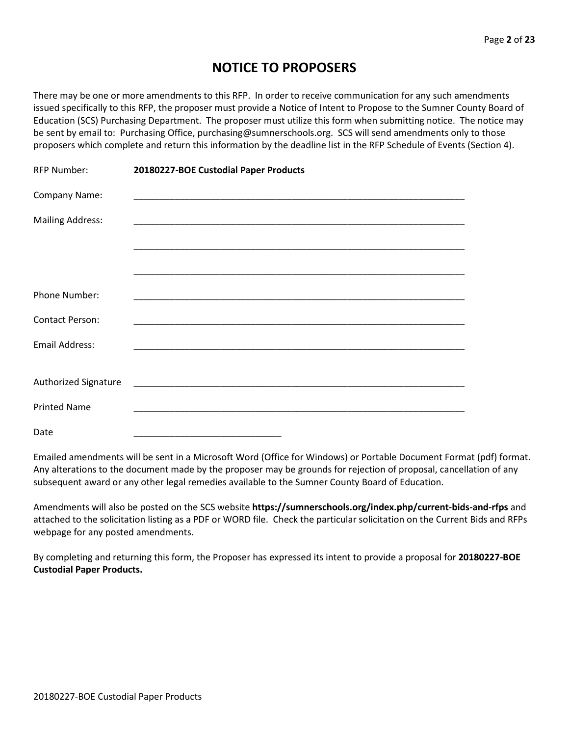# **NOTICE TO PROPOSERS**

There may be one or more amendments to this RFP. In order to receive communication for any such amendments issued specifically to this RFP, the proposer must provide a Notice of Intent to Propose to the Sumner County Board of Education (SCS) Purchasing Department. The proposer must utilize this form when submitting notice. The notice may be sent by email to: Purchasing Office, purchasing@sumnerschools.org. SCS will send amendments only to those proposers which complete and return this information by the deadline list in the RFP Schedule of Events (Section 4).

| <b>RFP Number:</b>          | 20180227-BOE Custodial Paper Products                                                                                |  |  |
|-----------------------------|----------------------------------------------------------------------------------------------------------------------|--|--|
| Company Name:               |                                                                                                                      |  |  |
| <b>Mailing Address:</b>     |                                                                                                                      |  |  |
|                             |                                                                                                                      |  |  |
|                             |                                                                                                                      |  |  |
| <b>Phone Number:</b>        |                                                                                                                      |  |  |
| <b>Contact Person:</b>      |                                                                                                                      |  |  |
| <b>Email Address:</b>       |                                                                                                                      |  |  |
|                             |                                                                                                                      |  |  |
| <b>Authorized Signature</b> |                                                                                                                      |  |  |
| <b>Printed Name</b>         | <u> 1989 - Johann John Stone, markin film yn y brenin y brenin y brenin y brenin y brenin y brenin y brenin y br</u> |  |  |
| Date                        |                                                                                                                      |  |  |

Emailed amendments will be sent in a Microsoft Word (Office for Windows) or Portable Document Format (pdf) format. Any alterations to the document made by the proposer may be grounds for rejection of proposal, cancellation of any subsequent award or any other legal remedies available to the Sumner County Board of Education.

Amendments will also be posted on the SCS website **https://sumnerschools.org/index.php/current-bids-and-rfps** and attached to the solicitation listing as a PDF or WORD file. Check the particular solicitation on the Current Bids and RFPs webpage for any posted amendments.

By completing and returning this form, the Proposer has expressed its intent to provide a proposal for **20180227-BOE Custodial Paper Products.**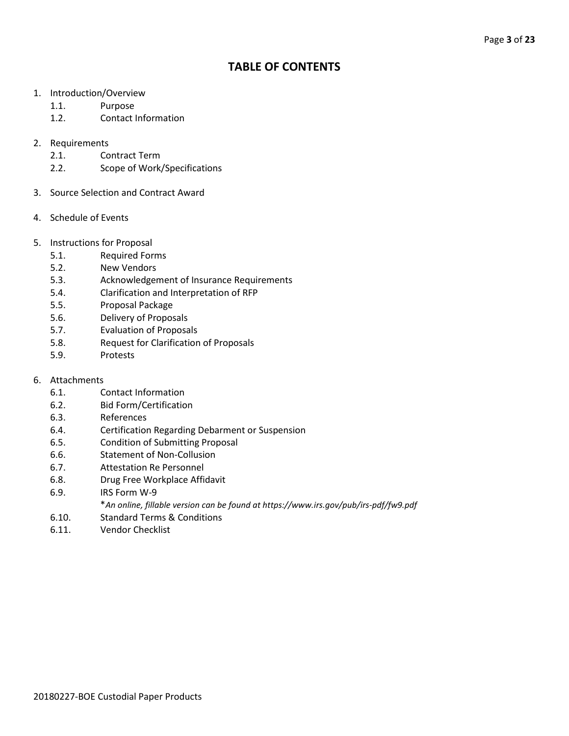# **TABLE OF CONTENTS**

- 1. Introduction/Overview
	- 1.1. Purpose
	- 1.2. Contact Information

# 2. Requirements

- 2.1. Contract Term
- 2.2. Scope of Work/Specifications
- 3. Source Selection and Contract Award
- 4. Schedule of Events
- 5. Instructions for Proposal
	- 5.1. Required Forms
	- 5.2. New Vendors
	- 5.3. Acknowledgement of Insurance Requirements
	- 5.4. Clarification and Interpretation of RFP
	- 5.5. Proposal Package
	- 5.6. Delivery of Proposals
	- 5.7. Evaluation of Proposals
	- 5.8. Request for Clarification of Proposals
	- 5.9. Protests
- 6. Attachments
	- 6.1. Contact Information
	- 6.2. Bid Form/Certification
	- 6.3. References
	- 6.4. Certification Regarding Debarment or Suspension
	- 6.5. Condition of Submitting Proposal
	- 6.6. Statement of Non-Collusion
	- 6.7. Attestation Re Personnel
	- 6.8. Drug Free Workplace Affidavit
	- 6.9. IRS Form W-9
		- \**An online, fillable version can be found at https://www.irs.gov/pub/irs-pdf/fw9.pdf*
	- 6.10. Standard Terms & Conditions
	- 6.11. Vendor Checklist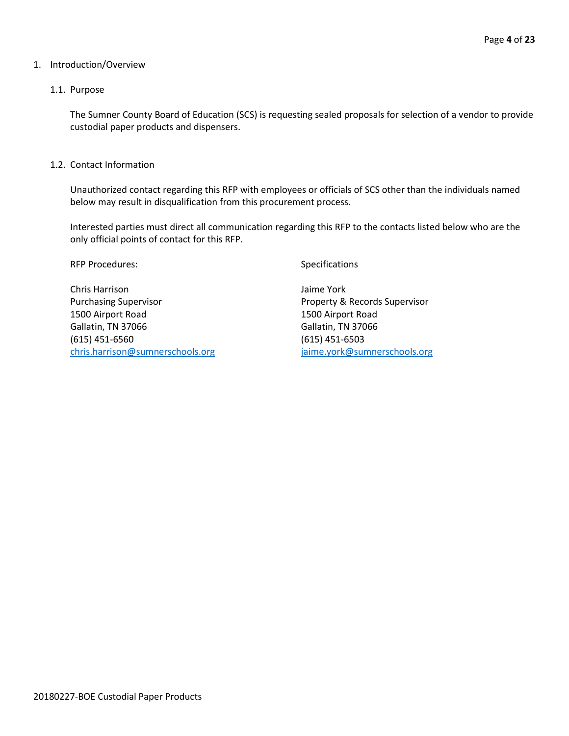#### 1. Introduction/Overview

# 1.1. Purpose

The Sumner County Board of Education (SCS) is requesting sealed proposals for selection of a vendor to provide custodial paper products and dispensers.

1.2. Contact Information

Unauthorized contact regarding this RFP with employees or officials of SCS other than the individuals named below may result in disqualification from this procurement process.

Interested parties must direct all communication regarding this RFP to the contacts listed below who are the only official points of contact for this RFP.

RFP Procedures: Specifications

Chris Harrison Jaime York Purchasing Supervisor **Property & Records Supervisor** Property & Records Supervisor 1500 Airport Road 1500 Airport Road Gallatin, TN 37066 Gallatin, TN 37066 (615) 451-6560 (615) 451-6503 [chris.harrison@sumnerschools.org](mailto:chris.harrison@sumnerschools.org) [jaime.york@sumnerschools.org](mailto:jaime.york@sumnerschools.org)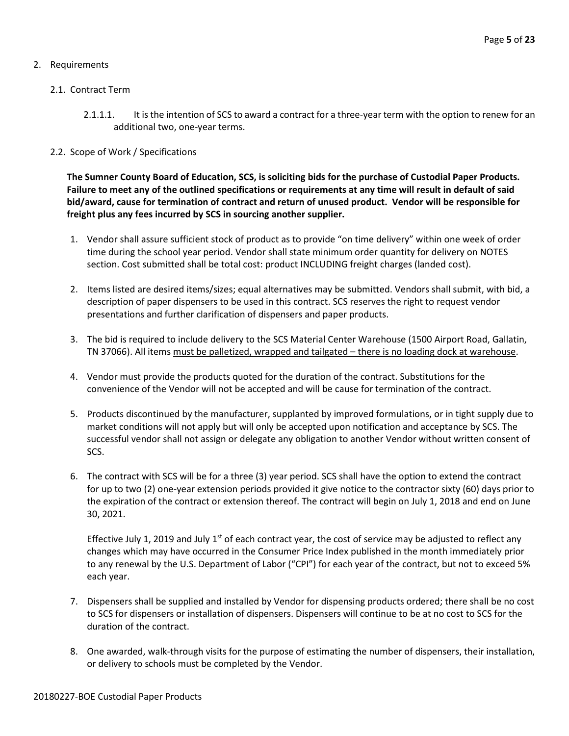# 2. Requirements

# 2.1. Contract Term

2.1.1.1. It is the intention of SCS to award a contract for a three-year term with the option to renew for an additional two, one-year terms.

# 2.2. Scope of Work / Specifications

**The Sumner County Board of Education, SCS, is soliciting bids for the purchase of Custodial Paper Products. Failure to meet any of the outlined specifications or requirements at any time will result in default of said bid/award, cause for termination of contract and return of unused product. Vendor will be responsible for freight plus any fees incurred by SCS in sourcing another supplier.**

- 1. Vendor shall assure sufficient stock of product as to provide "on time delivery" within one week of order time during the school year period. Vendor shall state minimum order quantity for delivery on NOTES section. Cost submitted shall be total cost: product INCLUDING freight charges (landed cost).
- 2. Items listed are desired items/sizes; equal alternatives may be submitted. Vendors shall submit, with bid, a description of paper dispensers to be used in this contract. SCS reserves the right to request vendor presentations and further clarification of dispensers and paper products.
- 3. The bid is required to include delivery to the SCS Material Center Warehouse (1500 Airport Road, Gallatin, TN 37066). All items must be palletized, wrapped and tailgated - there is no loading dock at warehouse.
- 4. Vendor must provide the products quoted for the duration of the contract. Substitutions for the convenience of the Vendor will not be accepted and will be cause for termination of the contract.
- 5. Products discontinued by the manufacturer, supplanted by improved formulations, or in tight supply due to market conditions will not apply but will only be accepted upon notification and acceptance by SCS. The successful vendor shall not assign or delegate any obligation to another Vendor without written consent of SCS.
- 6. The contract with SCS will be for a three (3) year period. SCS shall have the option to extend the contract for up to two (2) one-year extension periods provided it give notice to the contractor sixty (60) days prior to the expiration of the contract or extension thereof. The contract will begin on July 1, 2018 and end on June 30, 2021.

Effective July 1, 2019 and July 1<sup>st</sup> of each contract year, the cost of service may be adjusted to reflect any changes which may have occurred in the Consumer Price Index published in the month immediately prior to any renewal by the U.S. Department of Labor ("CPI") for each year of the contract, but not to exceed 5% each year.

- 7. Dispensers shall be supplied and installed by Vendor for dispensing products ordered; there shall be no cost to SCS for dispensers or installation of dispensers. Dispensers will continue to be at no cost to SCS for the duration of the contract.
- 8. One awarded, walk-through visits for the purpose of estimating the number of dispensers, their installation, or delivery to schools must be completed by the Vendor.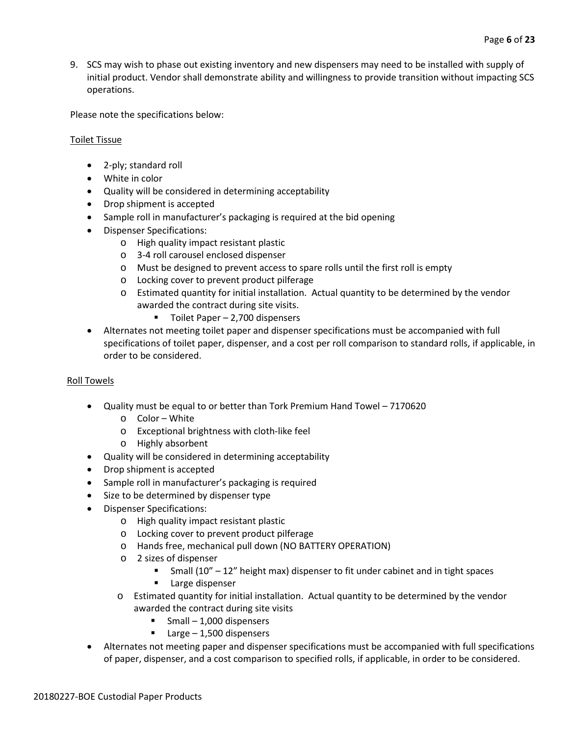9. SCS may wish to phase out existing inventory and new dispensers may need to be installed with supply of initial product. Vendor shall demonstrate ability and willingness to provide transition without impacting SCS operations.

Please note the specifications below:

# Toilet Tissue

- 2-ply; standard roll
- White in color
- Quality will be considered in determining acceptability
- Drop shipment is accepted
- Sample roll in manufacturer's packaging is required at the bid opening
- Dispenser Specifications:
	- o High quality impact resistant plastic
	- o 3-4 roll carousel enclosed dispenser
	- o Must be designed to prevent access to spare rolls until the first roll is empty
	- o Locking cover to prevent product pilferage
	- o Estimated quantity for initial installation. Actual quantity to be determined by the vendor awarded the contract during site visits.
		- $\blacksquare$  Toilet Paper 2,700 dispensers
- Alternates not meeting toilet paper and dispenser specifications must be accompanied with full specifications of toilet paper, dispenser, and a cost per roll comparison to standard rolls, if applicable, in order to be considered.

# Roll Towels

- Quality must be equal to or better than Tork Premium Hand Towel 7170620
	- o Color White
	- o Exceptional brightness with cloth-like feel
	- o Highly absorbent
- Quality will be considered in determining acceptability
- Drop shipment is accepted
- Sample roll in manufacturer's packaging is required
- Size to be determined by dispenser type
- Dispenser Specifications:
	- o High quality impact resistant plastic
	- o Locking cover to prevent product pilferage
	- o Hands free, mechanical pull down (NO BATTERY OPERATION)
	- o 2 sizes of dispenser
		- Small  $(10'' 12'')$  height max) dispenser to fit under cabinet and in tight spaces
		- **Large dispenser**
	- o Estimated quantity for initial installation. Actual quantity to be determined by the vendor awarded the contract during site visits
		- Small 1,000 dispensers
		- $\blacksquare$  Large 1,500 dispensers
- Alternates not meeting paper and dispenser specifications must be accompanied with full specifications of paper, dispenser, and a cost comparison to specified rolls, if applicable, in order to be considered.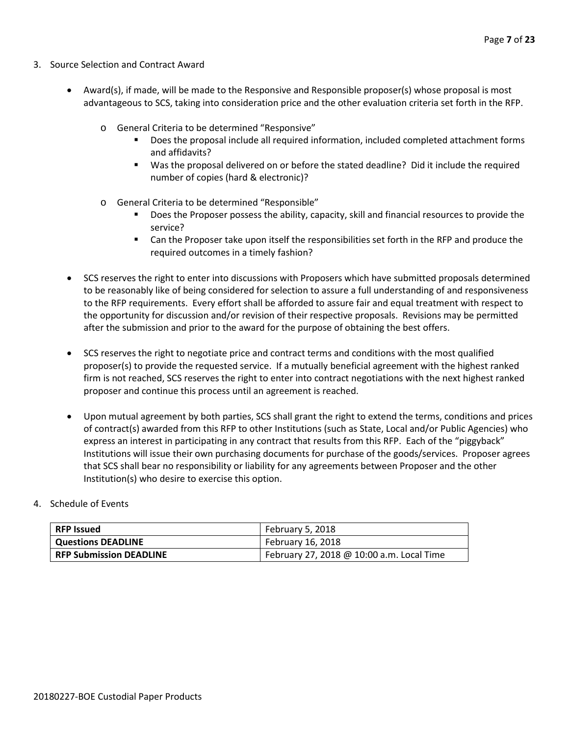- 3. Source Selection and Contract Award
	- Award(s), if made, will be made to the Responsive and Responsible proposer(s) whose proposal is most advantageous to SCS, taking into consideration price and the other evaluation criteria set forth in the RFP.
		- o General Criteria to be determined "Responsive"
			- Does the proposal include all required information, included completed attachment forms and affidavits?
			- Was the proposal delivered on or before the stated deadline? Did it include the required number of copies (hard & electronic)?
		- o General Criteria to be determined "Responsible"
			- Does the Proposer possess the ability, capacity, skill and financial resources to provide the service?
			- **EXEC** Can the Proposer take upon itself the responsibilities set forth in the RFP and produce the required outcomes in a timely fashion?
	- SCS reserves the right to enter into discussions with Proposers which have submitted proposals determined to be reasonably like of being considered for selection to assure a full understanding of and responsiveness to the RFP requirements. Every effort shall be afforded to assure fair and equal treatment with respect to the opportunity for discussion and/or revision of their respective proposals. Revisions may be permitted after the submission and prior to the award for the purpose of obtaining the best offers.
	- SCS reserves the right to negotiate price and contract terms and conditions with the most qualified proposer(s) to provide the requested service. If a mutually beneficial agreement with the highest ranked firm is not reached, SCS reserves the right to enter into contract negotiations with the next highest ranked proposer and continue this process until an agreement is reached.
	- Upon mutual agreement by both parties, SCS shall grant the right to extend the terms, conditions and prices of contract(s) awarded from this RFP to other Institutions (such as State, Local and/or Public Agencies) who express an interest in participating in any contract that results from this RFP. Each of the "piggyback" Institutions will issue their own purchasing documents for purchase of the goods/services. Proposer agrees that SCS shall bear no responsibility or liability for any agreements between Proposer and the other Institution(s) who desire to exercise this option.

# 4. Schedule of Events

| RFP Issued                     | February 5, 2018                          |
|--------------------------------|-------------------------------------------|
| Questions DEADLINE             | February 16, 2018                         |
| <b>RFP Submission DEADLINE</b> | February 27, 2018 @ 10:00 a.m. Local Time |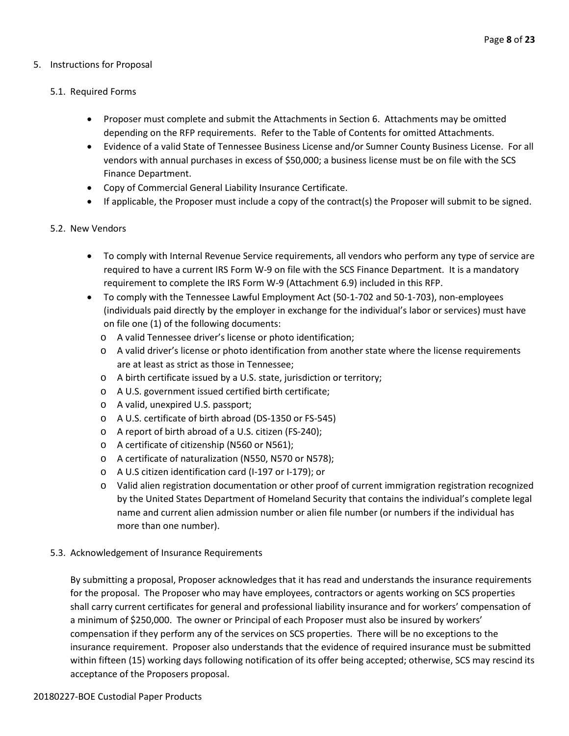# 5. Instructions for Proposal

# 5.1. Required Forms

- Proposer must complete and submit the Attachments in Section 6. Attachments may be omitted depending on the RFP requirements. Refer to the Table of Contents for omitted Attachments.
- Evidence of a valid State of Tennessee Business License and/or Sumner County Business License. For all vendors with annual purchases in excess of \$50,000; a business license must be on file with the SCS Finance Department.
- Copy of Commercial General Liability Insurance Certificate.
- If applicable, the Proposer must include a copy of the contract(s) the Proposer will submit to be signed.

# 5.2. New Vendors

- To comply with Internal Revenue Service requirements, all vendors who perform any type of service are required to have a current IRS Form W-9 on file with the SCS Finance Department. It is a mandatory requirement to complete the IRS Form W-9 (Attachment 6.9) included in this RFP.
- To comply with the Tennessee Lawful Employment Act (50-1-702 and 50-1-703), non-employees (individuals paid directly by the employer in exchange for the individual's labor or services) must have on file one (1) of the following documents:
	- o A valid Tennessee driver's license or photo identification;
	- o A valid driver's license or photo identification from another state where the license requirements are at least as strict as those in Tennessee;
	- o A birth certificate issued by a U.S. state, jurisdiction or territory;
	- o A U.S. government issued certified birth certificate;
	- o A valid, unexpired U.S. passport;
	- o A U.S. certificate of birth abroad (DS-1350 or FS-545)
	- o A report of birth abroad of a U.S. citizen (FS-240);
	- o A certificate of citizenship (N560 or N561);
	- o A certificate of naturalization (N550, N570 or N578);
	- o A U.S citizen identification card (I-197 or I-179); or
	- o Valid alien registration documentation or other proof of current immigration registration recognized by the United States Department of Homeland Security that contains the individual's complete legal name and current alien admission number or alien file number (or numbers if the individual has more than one number).

# 5.3. Acknowledgement of Insurance Requirements

By submitting a proposal, Proposer acknowledges that it has read and understands the insurance requirements for the proposal. The Proposer who may have employees, contractors or agents working on SCS properties shall carry current certificates for general and professional liability insurance and for workers' compensation of a minimum of \$250,000. The owner or Principal of each Proposer must also be insured by workers' compensation if they perform any of the services on SCS properties. There will be no exceptions to the insurance requirement. Proposer also understands that the evidence of required insurance must be submitted within fifteen (15) working days following notification of its offer being accepted; otherwise, SCS may rescind its acceptance of the Proposers proposal.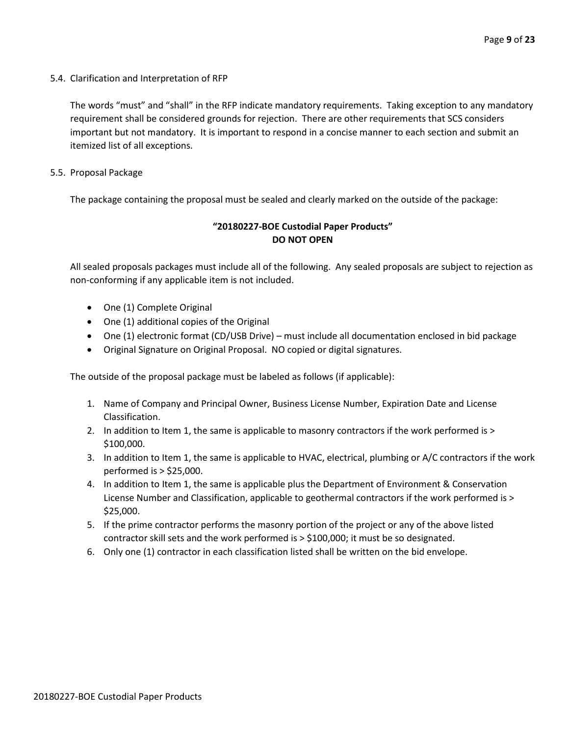5.4. Clarification and Interpretation of RFP

The words "must" and "shall" in the RFP indicate mandatory requirements. Taking exception to any mandatory requirement shall be considered grounds for rejection. There are other requirements that SCS considers important but not mandatory. It is important to respond in a concise manner to each section and submit an itemized list of all exceptions.

5.5. Proposal Package

The package containing the proposal must be sealed and clearly marked on the outside of the package:

# **"20180227-BOE Custodial Paper Products" DO NOT OPEN**

All sealed proposals packages must include all of the following. Any sealed proposals are subject to rejection as non-conforming if any applicable item is not included.

- One (1) Complete Original
- One (1) additional copies of the Original
- One (1) electronic format (CD/USB Drive) must include all documentation enclosed in bid package
- Original Signature on Original Proposal. NO copied or digital signatures.

The outside of the proposal package must be labeled as follows (if applicable):

- 1. Name of Company and Principal Owner, Business License Number, Expiration Date and License Classification.
- 2. In addition to Item 1, the same is applicable to masonry contractors if the work performed is > \$100,000.
- 3. In addition to Item 1, the same is applicable to HVAC, electrical, plumbing or A/C contractors if the work performed is > \$25,000.
- 4. In addition to Item 1, the same is applicable plus the Department of Environment & Conservation License Number and Classification, applicable to geothermal contractors if the work performed is > \$25,000.
- 5. If the prime contractor performs the masonry portion of the project or any of the above listed contractor skill sets and the work performed is > \$100,000; it must be so designated.
- 6. Only one (1) contractor in each classification listed shall be written on the bid envelope.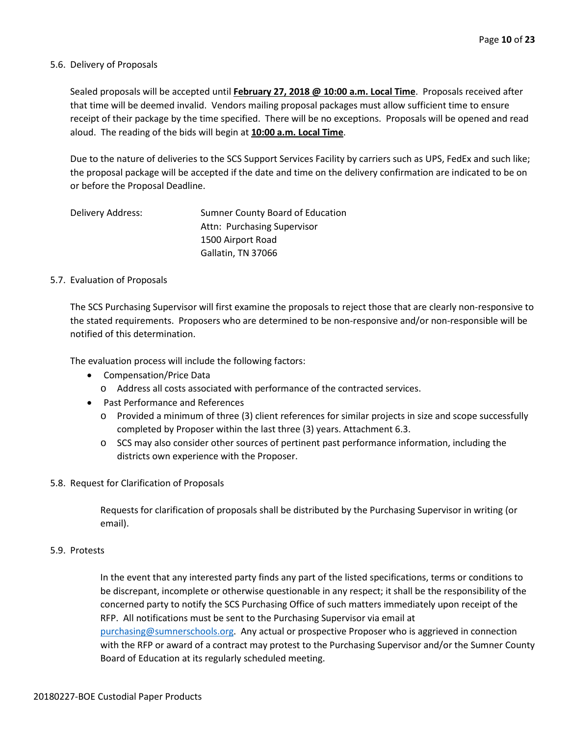#### 5.6. Delivery of Proposals

Sealed proposals will be accepted until **February 27, 2018 @ 10:00 a.m. Local Time**. Proposals received after that time will be deemed invalid. Vendors mailing proposal packages must allow sufficient time to ensure receipt of their package by the time specified. There will be no exceptions. Proposals will be opened and read aloud. The reading of the bids will begin at **10:00 a.m. Local Time**.

Due to the nature of deliveries to the SCS Support Services Facility by carriers such as UPS, FedEx and such like; the proposal package will be accepted if the date and time on the delivery confirmation are indicated to be on or before the Proposal Deadline.

| Delivery Address: | Sumner County Board of Education |
|-------------------|----------------------------------|
|                   | Attn: Purchasing Supervisor      |
|                   | 1500 Airport Road                |
|                   | Gallatin, TN 37066               |

#### 5.7. Evaluation of Proposals

The SCS Purchasing Supervisor will first examine the proposals to reject those that are clearly non-responsive to the stated requirements. Proposers who are determined to be non-responsive and/or non-responsible will be notified of this determination.

The evaluation process will include the following factors:

- Compensation/Price Data
	- o Address all costs associated with performance of the contracted services.
- Past Performance and References
	- o Provided a minimum of three (3) client references for similar projects in size and scope successfully completed by Proposer within the last three (3) years. Attachment 6.3.
	- o SCS may also consider other sources of pertinent past performance information, including the districts own experience with the Proposer.

#### 5.8. Request for Clarification of Proposals

Requests for clarification of proposals shall be distributed by the Purchasing Supervisor in writing (or email).

#### 5.9. Protests

In the event that any interested party finds any part of the listed specifications, terms or conditions to be discrepant, incomplete or otherwise questionable in any respect; it shall be the responsibility of the concerned party to notify the SCS Purchasing Office of such matters immediately upon receipt of the RFP. All notifications must be sent to the Purchasing Supervisor via email at [purchasing@sumnerschools.org.](mailto:purchasing@sumnerschools.org) Any actual or prospective Proposer who is aggrieved in connection with the RFP or award of a contract may protest to the Purchasing Supervisor and/or the Sumner County Board of Education at its regularly scheduled meeting.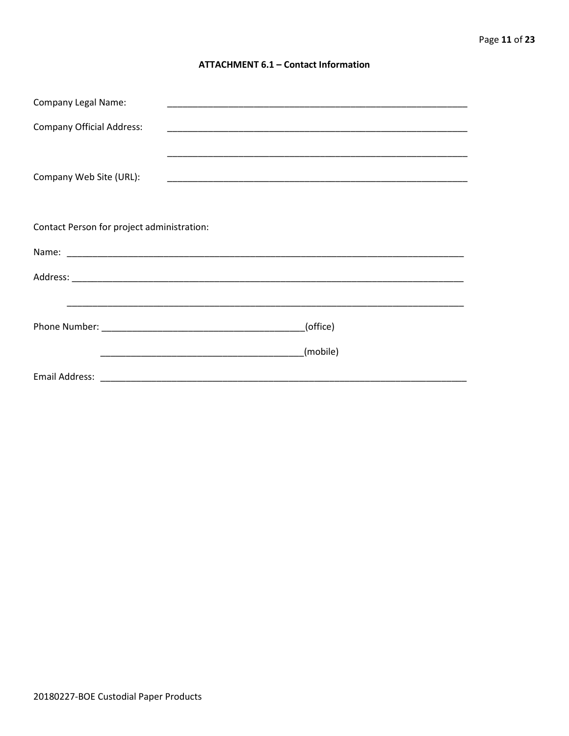### **ATTACHMENT 6.1 - Contact Information**

| <b>Company Legal Name:</b>                 | <u> 1989 - Johann John Stoff, deutscher Stoffen und der Stoffen und der Stoffen und der Stoffen und der Stoffen u</u> |
|--------------------------------------------|-----------------------------------------------------------------------------------------------------------------------|
| <b>Company Official Address:</b>           |                                                                                                                       |
|                                            |                                                                                                                       |
| Company Web Site (URL):                    |                                                                                                                       |
|                                            |                                                                                                                       |
| Contact Person for project administration: |                                                                                                                       |
|                                            |                                                                                                                       |
|                                            |                                                                                                                       |
|                                            |                                                                                                                       |
|                                            | (office)                                                                                                              |
|                                            | (mobile)                                                                                                              |
|                                            |                                                                                                                       |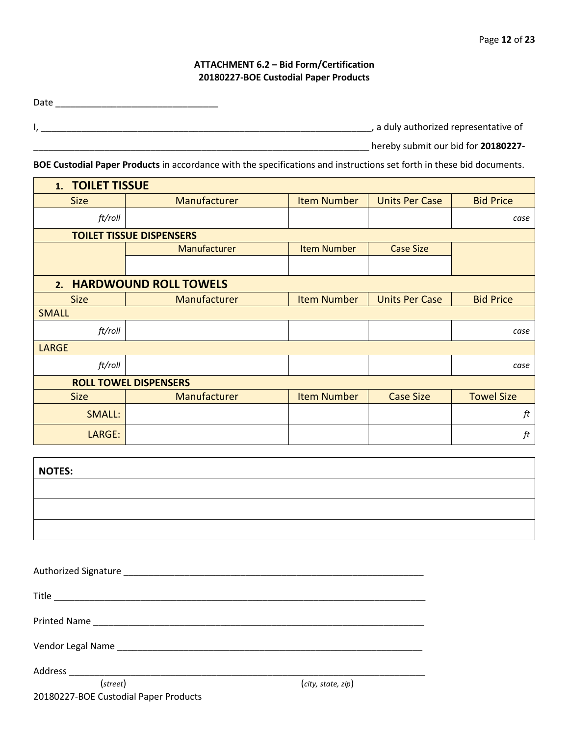# **ATTACHMENT 6.2 – Bid Form/Certification 20180227-BOE Custodial Paper Products**

Date \_\_\_\_\_\_\_\_\_\_\_\_\_\_\_\_\_\_\_\_\_\_\_\_\_\_\_\_\_\_\_\_

 $\blacksquare$ 

I, \_\_\_\_\_\_\_\_\_\_\_\_\_\_\_\_\_\_\_\_\_\_\_\_\_\_\_\_\_\_\_\_\_\_\_\_\_\_\_\_\_\_\_\_\_\_\_\_\_\_\_\_\_\_\_\_\_\_\_\_\_\_\_\_\_, a duly authorized representative of

\_\_\_\_\_\_\_\_\_\_\_\_\_\_\_\_\_\_\_\_\_\_\_\_\_\_\_\_\_\_\_\_\_\_\_\_\_\_\_\_\_\_\_\_\_\_\_\_\_\_\_\_\_\_\_\_\_\_\_\_\_\_\_\_\_\_ hereby submit our bid for **20180227-**

**BOE Custodial Paper Products** in accordance with the specifications and instructions set forth in these bid documents.

| 1. TOILET TISSUE             |                                 |                    |                       |                   |
|------------------------------|---------------------------------|--------------------|-----------------------|-------------------|
| <b>Size</b>                  | Manufacturer                    | <b>Item Number</b> | <b>Units Per Case</b> | <b>Bid Price</b>  |
| ft/roll                      |                                 |                    |                       | case              |
|                              | <b>TOILET TISSUE DISPENSERS</b> |                    |                       |                   |
|                              | <b>Manufacturer</b>             | <b>Item Number</b> | <b>Case Size</b>      |                   |
|                              |                                 |                    |                       |                   |
| 2. HARDWOUND ROLL TOWELS     |                                 |                    |                       |                   |
| <b>Size</b>                  | Manufacturer                    | <b>Item Number</b> | <b>Units Per Case</b> | <b>Bid Price</b>  |
| <b>SMALL</b>                 |                                 |                    |                       |                   |
| ft/roll                      |                                 |                    |                       | case              |
| <b>LARGE</b>                 |                                 |                    |                       |                   |
| ft/roll                      |                                 |                    |                       | case              |
| <b>ROLL TOWEL DISPENSERS</b> |                                 |                    |                       |                   |
| <b>Size</b>                  | Manufacturer                    | <b>Item Number</b> | <b>Case Size</b>      | <b>Towel Size</b> |
| <b>SMALL:</b>                |                                 |                    |                       | ft                |
| LARGE:                       |                                 |                    |                       | $\it ft$          |

| <b>NOTES:</b> |  |
|---------------|--|
|               |  |
|               |  |
|               |  |

| (street)                              | (city, state, zip) |  |
|---------------------------------------|--------------------|--|
| 20180227-BOE Custodial Paper Products |                    |  |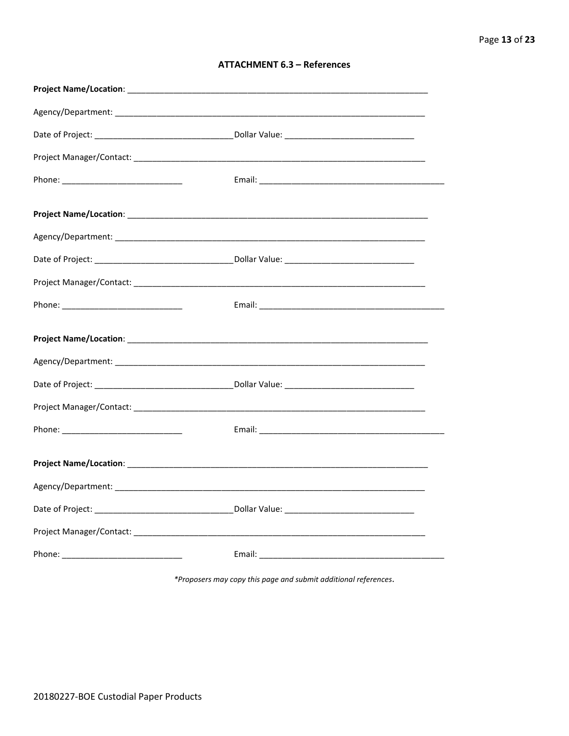| <b>ATTACHMENT 6.3 - References</b> |  |  |
|------------------------------------|--|--|
|------------------------------------|--|--|

\*Proposers may copy this page and submit additional references.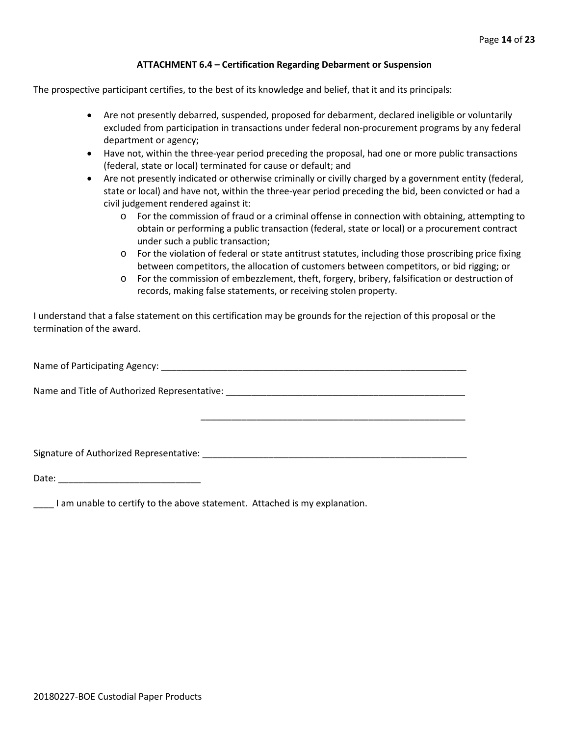### **ATTACHMENT 6.4 – Certification Regarding Debarment or Suspension**

The prospective participant certifies, to the best of its knowledge and belief, that it and its principals:

- Are not presently debarred, suspended, proposed for debarment, declared ineligible or voluntarily excluded from participation in transactions under federal non-procurement programs by any federal department or agency;
- Have not, within the three-year period preceding the proposal, had one or more public transactions (federal, state or local) terminated for cause or default; and
- Are not presently indicated or otherwise criminally or civilly charged by a government entity (federal, state or local) and have not, within the three-year period preceding the bid, been convicted or had a civil judgement rendered against it:
	- o For the commission of fraud or a criminal offense in connection with obtaining, attempting to obtain or performing a public transaction (federal, state or local) or a procurement contract under such a public transaction;
	- o For the violation of federal or state antitrust statutes, including those proscribing price fixing between competitors, the allocation of customers between competitors, or bid rigging; or
	- o For the commission of embezzlement, theft, forgery, bribery, falsification or destruction of records, making false statements, or receiving stolen property.

\_\_\_\_\_\_\_\_\_\_\_\_\_\_\_\_\_\_\_\_\_\_\_\_\_\_\_\_\_\_\_\_\_\_\_\_\_\_\_\_\_\_\_\_\_\_\_\_\_\_\_\_

I understand that a false statement on this certification may be grounds for the rejection of this proposal or the termination of the award.

Name of Participating Agency: \_\_\_\_\_\_\_\_\_\_\_\_\_\_\_\_\_\_\_\_\_\_\_\_\_\_\_\_\_\_\_\_\_\_\_\_\_\_\_\_\_\_\_\_\_\_\_\_\_\_\_\_\_\_\_\_\_\_\_\_

Name and Title of Authorized Representative: \_\_\_\_\_\_\_\_\_\_\_\_\_\_\_\_\_\_\_\_\_\_\_\_\_\_\_\_\_\_\_\_\_\_\_

Signature of Authorized Representative: \_\_\_\_\_\_\_\_\_\_\_\_\_\_\_\_\_\_\_\_\_\_\_\_\_\_\_\_\_\_\_\_\_\_\_\_\_\_\_\_\_\_\_\_\_\_\_\_\_\_\_\_

Date: \_\_\_\_\_\_\_\_\_\_\_\_\_\_\_\_\_\_\_\_\_\_\_\_\_\_\_\_

\_\_\_\_ I am unable to certify to the above statement. Attached is my explanation.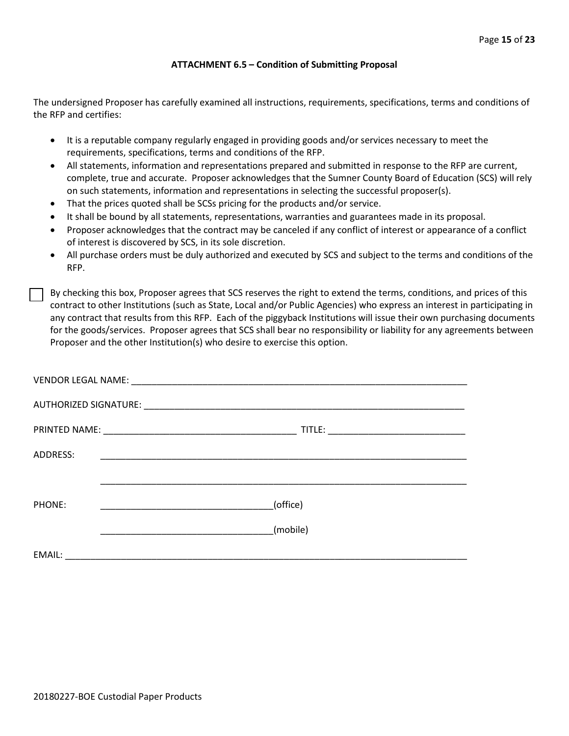#### **ATTACHMENT 6.5 – Condition of Submitting Proposal**

The undersigned Proposer has carefully examined all instructions, requirements, specifications, terms and conditions of the RFP and certifies:

- It is a reputable company regularly engaged in providing goods and/or services necessary to meet the requirements, specifications, terms and conditions of the RFP.
- All statements, information and representations prepared and submitted in response to the RFP are current, complete, true and accurate. Proposer acknowledges that the Sumner County Board of Education (SCS) will rely on such statements, information and representations in selecting the successful proposer(s).
- That the prices quoted shall be SCSs pricing for the products and/or service.
- It shall be bound by all statements, representations, warranties and guarantees made in its proposal.
- Proposer acknowledges that the contract may be canceled if any conflict of interest or appearance of a conflict of interest is discovered by SCS, in its sole discretion.
- All purchase orders must be duly authorized and executed by SCS and subject to the terms and conditions of the RFP.

By checking this box, Proposer agrees that SCS reserves the right to extend the terms, conditions, and prices of this contract to other Institutions (such as State, Local and/or Public Agencies) who express an interest in participating in any contract that results from this RFP. Each of the piggyback Institutions will issue their own purchasing documents for the goods/services. Proposer agrees that SCS shall bear no responsibility or liability for any agreements between Proposer and the other Institution(s) who desire to exercise this option.

| ADDRESS: | <u> 1999 - Johann John Stone, mars et al. 1999 - John Stone, mars et al. 1999 - John Stone, mars et al. 1999 - Joh</u> |  |
|----------|------------------------------------------------------------------------------------------------------------------------|--|
|          |                                                                                                                        |  |
| PHONE:   | (office)                                                                                                               |  |
|          | (mobile)                                                                                                               |  |
| EMAIL:   |                                                                                                                        |  |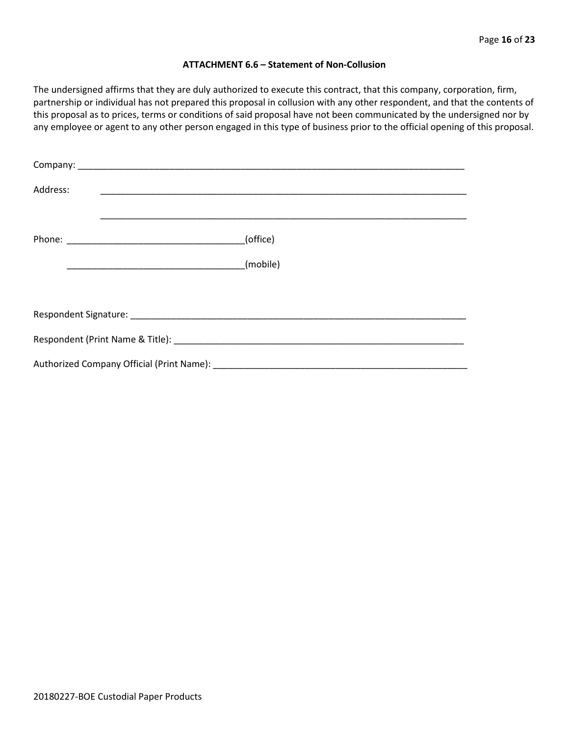#### **ATTACHMENT 6.6 – Statement of Non-Collusion**

The undersigned affirms that they are duly authorized to execute this contract, that this company, corporation, firm, partnership or individual has not prepared this proposal in collusion with any other respondent, and that the contents of this proposal as to prices, terms or conditions of said proposal have not been communicated by the undersigned nor by any employee or agent to any other person engaged in this type of business prior to the official opening of this proposal.

| Address: |          |  |
|----------|----------|--|
|          | (office) |  |
|          | (mobile) |  |
|          |          |  |
|          |          |  |
|          |          |  |
|          |          |  |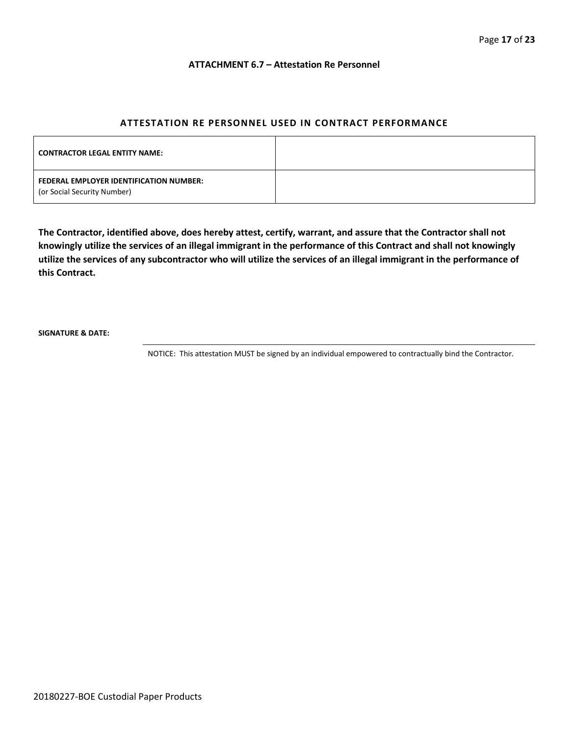#### **ATTACHMENT 6.7 – Attestation Re Personnel**

# **ATTESTATION RE PERSONNEL USED IN CONTRACT PERFORMANCE**

| <b>CONTRACTOR LEGAL ENTITY NAME:</b>                                   |  |
|------------------------------------------------------------------------|--|
| FEDERAL EMPLOYER IDENTIFICATION NUMBER:<br>(or Social Security Number) |  |

**The Contractor, identified above, does hereby attest, certify, warrant, and assure that the Contractor shall not knowingly utilize the services of an illegal immigrant in the performance of this Contract and shall not knowingly utilize the services of any subcontractor who will utilize the services of an illegal immigrant in the performance of this Contract.**

**SIGNATURE & DATE:**

NOTICE: This attestation MUST be signed by an individual empowered to contractually bind the Contractor.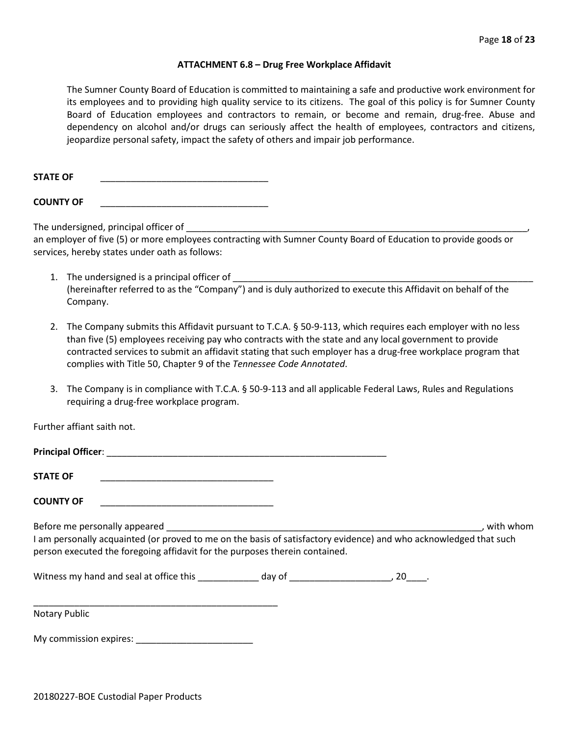#### **ATTACHMENT 6.8 – Drug Free Workplace Affidavit**

The Sumner County Board of Education is committed to maintaining a safe and productive work environment for its employees and to providing high quality service to its citizens. The goal of this policy is for Sumner County Board of Education employees and contractors to remain, or become and remain, drug-free. Abuse and dependency on alcohol and/or drugs can seriously affect the health of employees, contractors and citizens, jeopardize personal safety, impact the safety of others and impair job performance.

STATE OF

**COUNTY OF** \_\_\_\_\_\_\_\_\_\_\_\_\_\_\_\_\_\_\_\_\_\_\_\_\_\_\_\_\_\_\_\_\_

The undersigned, principal officer of

an employer of five (5) or more employees contracting with Sumner County Board of Education to provide goods or services, hereby states under oath as follows:

- 1. The undersigned is a principal officer of (hereinafter referred to as the "Company") and is duly authorized to execute this Affidavit on behalf of the Company.
- 2. The Company submits this Affidavit pursuant to T.C.A. § 50-9-113, which requires each employer with no less than five (5) employees receiving pay who contracts with the state and any local government to provide contracted services to submit an affidavit stating that such employer has a drug-free workplace program that complies with Title 50, Chapter 9 of the *Tennessee Code Annotated*.
- 3. The Company is in compliance with T.C.A. § 50-9-113 and all applicable Federal Laws, Rules and Regulations requiring a drug-free workplace program.

Further affiant saith not.

| Principal Officer: New York Principal Officer:                                                                                                                                                   |  |             |
|--------------------------------------------------------------------------------------------------------------------------------------------------------------------------------------------------|--|-------------|
| <b>STATE OF</b><br><u> 1989 - Johann John Stone, mars et al. 1989 - John Stone, mars et al. 1989 - John Stone, mars et al. 1989 - Joh</u>                                                        |  |             |
| <b>COUNTY OF</b><br><u> 1980 - Jan James, margaret amerikan bizi dago da basar da basar da basar da basar da basar da basar da basar</u>                                                         |  |             |
|                                                                                                                                                                                                  |  | . with whom |
| I am personally acquainted (or proved to me on the basis of satisfactory evidence) and who acknowledged that such<br>person executed the foregoing affidavit for the purposes therein contained. |  |             |
|                                                                                                                                                                                                  |  |             |
| Notary Public                                                                                                                                                                                    |  |             |
| My commission expires:                                                                                                                                                                           |  |             |

20180227-BOE Custodial Paper Products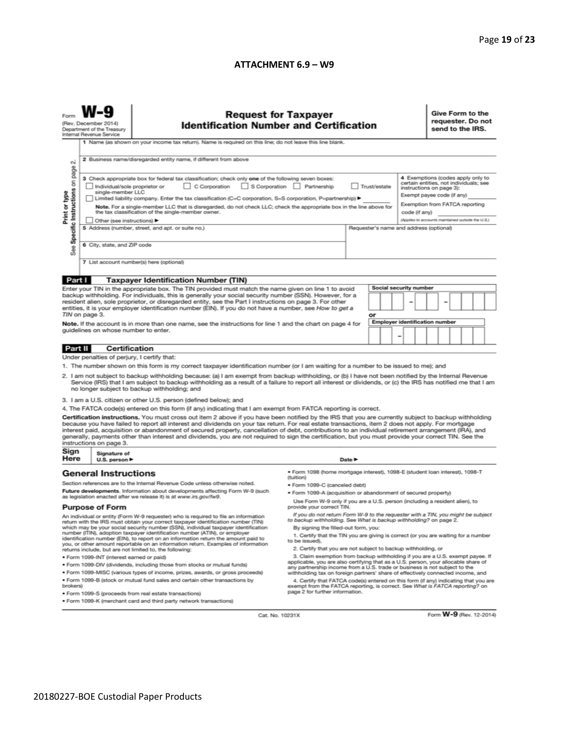#### **ATTACHMENT 6.9 – W9**

| N                                                                                                                                                                                                                                                                                                                                                                                                                                                                                                                                                                                                                                                                                                                                                                                                                                                                                                                                                                                                                                                                                                                                                                                                                                                                                                                                                              | <b>Request for Taxpayer</b><br>(Rev. December 2014)<br><b>Identification Number and Certification</b><br>Department of the Treasury<br>Internal Revenue Service<br>1 Name (as shown on your income tax return). Name is required on this line; do not leave this line blank.<br>2 Business name/disregarded entity name, if different from above                                                                                                                                                                                                                                                                                                                                                                                                |                                                                                                                                                                                                                                                                                                                                                                                                                                                                                                                                                                                                                                                                                                                                                                                                                                                                                      |  |                                                                                 |  |  |  |  | Give Form to the<br>requester. Do not<br>send to the IRS.                                                                                                                                                                    |  |  |  |  |
|----------------------------------------------------------------------------------------------------------------------------------------------------------------------------------------------------------------------------------------------------------------------------------------------------------------------------------------------------------------------------------------------------------------------------------------------------------------------------------------------------------------------------------------------------------------------------------------------------------------------------------------------------------------------------------------------------------------------------------------------------------------------------------------------------------------------------------------------------------------------------------------------------------------------------------------------------------------------------------------------------------------------------------------------------------------------------------------------------------------------------------------------------------------------------------------------------------------------------------------------------------------------------------------------------------------------------------------------------------------|-------------------------------------------------------------------------------------------------------------------------------------------------------------------------------------------------------------------------------------------------------------------------------------------------------------------------------------------------------------------------------------------------------------------------------------------------------------------------------------------------------------------------------------------------------------------------------------------------------------------------------------------------------------------------------------------------------------------------------------------------|--------------------------------------------------------------------------------------------------------------------------------------------------------------------------------------------------------------------------------------------------------------------------------------------------------------------------------------------------------------------------------------------------------------------------------------------------------------------------------------------------------------------------------------------------------------------------------------------------------------------------------------------------------------------------------------------------------------------------------------------------------------------------------------------------------------------------------------------------------------------------------------|--|---------------------------------------------------------------------------------|--|--|--|--|------------------------------------------------------------------------------------------------------------------------------------------------------------------------------------------------------------------------------|--|--|--|--|
| Specific Instructions on page<br>Print or type<br>See                                                                                                                                                                                                                                                                                                                                                                                                                                                                                                                                                                                                                                                                                                                                                                                                                                                                                                                                                                                                                                                                                                                                                                                                                                                                                                          | 3 Check appropriate box for federal tax classification; check only one of the following seven boxes:<br>C Corporation<br>S Corporation Partnership<br>Trust/estate<br>Individual/sole proprietor or<br>single-member LLC<br>Limited liability company. Enter the tax classification (C=C corporation, S=S corporation, P=partnership) ▶<br>Note. For a single-member LLC that is disregarded, do not check LLC; check the appropriate box in the line above for<br>the tax classification of the single-member owner.<br>code (if any)<br>Other (see instructions) ▶<br>5 Address (number, street, and apt. or suite no.)<br>Requester's name and address (optional)<br>6 City, state, and ZIP code<br>7 List account number(s) here (optional) |                                                                                                                                                                                                                                                                                                                                                                                                                                                                                                                                                                                                                                                                                                                                                                                                                                                                                      |  |                                                                                 |  |  |  |  | 4 Exemptions (codes apply only to<br>certain entities, not individuals; see<br>instructions on page 3):<br>Exempt payee code (if any)<br>Exemption from FATCA reporting<br>(Applies to accounts maintained outside the U.S.) |  |  |  |  |
|                                                                                                                                                                                                                                                                                                                                                                                                                                                                                                                                                                                                                                                                                                                                                                                                                                                                                                                                                                                                                                                                                                                                                                                                                                                                                                                                                                |                                                                                                                                                                                                                                                                                                                                                                                                                                                                                                                                                                                                                                                                                                                                                 |                                                                                                                                                                                                                                                                                                                                                                                                                                                                                                                                                                                                                                                                                                                                                                                                                                                                                      |  |                                                                                 |  |  |  |  |                                                                                                                                                                                                                              |  |  |  |  |
| Part I<br><b>Taxpayer Identification Number (TIN)</b><br>Enter your TIN in the appropriate box. The TIN provided must match the name given on line 1 to avoid<br>backup withholding. For individuals, this is generally your social security number (SSN). However, for a<br>resident alien, sole proprietor, or disregarded entity, see the Part I instructions on page 3. For other<br>entities, it is your employer identification number (EIN). If you do not have a number, see How to get a<br>TIN on page 3.<br>Note. If the account is in more than one name, see the instructions for line 1 and the chart on page 4 for<br>guidelines on whose number to enter.                                                                                                                                                                                                                                                                                                                                                                                                                                                                                                                                                                                                                                                                                      |                                                                                                                                                                                                                                                                                                                                                                                                                                                                                                                                                                                                                                                                                                                                                 |                                                                                                                                                                                                                                                                                                                                                                                                                                                                                                                                                                                                                                                                                                                                                                                                                                                                                      |  | Social security number<br>-<br>or<br><b>Employer identification number</b><br>- |  |  |  |  |                                                                                                                                                                                                                              |  |  |  |  |
|                                                                                                                                                                                                                                                                                                                                                                                                                                                                                                                                                                                                                                                                                                                                                                                                                                                                                                                                                                                                                                                                                                                                                                                                                                                                                                                                                                |                                                                                                                                                                                                                                                                                                                                                                                                                                                                                                                                                                                                                                                                                                                                                 |                                                                                                                                                                                                                                                                                                                                                                                                                                                                                                                                                                                                                                                                                                                                                                                                                                                                                      |  |                                                                                 |  |  |  |  |                                                                                                                                                                                                                              |  |  |  |  |
| Part II                                                                                                                                                                                                                                                                                                                                                                                                                                                                                                                                                                                                                                                                                                                                                                                                                                                                                                                                                                                                                                                                                                                                                                                                                                                                                                                                                        | <b>Certification</b><br>Under penalties of perjury, I certify that:                                                                                                                                                                                                                                                                                                                                                                                                                                                                                                                                                                                                                                                                             |                                                                                                                                                                                                                                                                                                                                                                                                                                                                                                                                                                                                                                                                                                                                                                                                                                                                                      |  |                                                                                 |  |  |  |  |                                                                                                                                                                                                                              |  |  |  |  |
| 1. The number shown on this form is my correct taxpayer identification number (or I am waiting for a number to be issued to me); and<br>2. I am not subject to backup withholding because: (a) I am exempt from backup withholding, or (b) I have not been notified by the Internal Revenue<br>Service (IRS) that I am subject to backup withholding as a result of a failure to report all interest or dividends, or (c) the IRS has notified me that I am<br>no longer subject to backup withholding; and<br>3. I am a U.S. citizen or other U.S. person (defined below); and<br>4. The FATCA code(s) entered on this form (if any) indicating that I am exempt from FATCA reporting is correct.<br>Certification instructions. You must cross out item 2 above if you have been notified by the IRS that you are currently subject to backup withholding<br>because you have failed to report all interest and dividends on your tax return. For real estate transactions, item 2 does not apply. For mortgage<br>interest paid, acquisition or abandonment of secured property, cancellation of debt, contributions to an individual retirement arrangement (IRA), and<br>generally, payments other than interest and dividends, you are not required to sign the certification, but you must provide your correct TIN. See the<br>instructions on page 3. |                                                                                                                                                                                                                                                                                                                                                                                                                                                                                                                                                                                                                                                                                                                                                 |                                                                                                                                                                                                                                                                                                                                                                                                                                                                                                                                                                                                                                                                                                                                                                                                                                                                                      |  |                                                                                 |  |  |  |  |                                                                                                                                                                                                                              |  |  |  |  |
| Sign                                                                                                                                                                                                                                                                                                                                                                                                                                                                                                                                                                                                                                                                                                                                                                                                                                                                                                                                                                                                                                                                                                                                                                                                                                                                                                                                                           | Signature of                                                                                                                                                                                                                                                                                                                                                                                                                                                                                                                                                                                                                                                                                                                                    |                                                                                                                                                                                                                                                                                                                                                                                                                                                                                                                                                                                                                                                                                                                                                                                                                                                                                      |  |                                                                                 |  |  |  |  |                                                                                                                                                                                                                              |  |  |  |  |
| Here                                                                                                                                                                                                                                                                                                                                                                                                                                                                                                                                                                                                                                                                                                                                                                                                                                                                                                                                                                                                                                                                                                                                                                                                                                                                                                                                                           | Date $\blacktriangleright$<br>U.S. person ▶<br>· Form 1098 (home mortgage interest), 1098-E (student loan interest), 1098-T<br><b>General Instructions</b>                                                                                                                                                                                                                                                                                                                                                                                                                                                                                                                                                                                      |                                                                                                                                                                                                                                                                                                                                                                                                                                                                                                                                                                                                                                                                                                                                                                                                                                                                                      |  |                                                                                 |  |  |  |  |                                                                                                                                                                                                                              |  |  |  |  |
| Section references are to the Internal Revenue Code unless otherwise noted.<br>Future developments. Information about developments affecting Form W-9 (such<br>as legislation enacted after we release it) is at www.irs.gov/fw9.<br><b>Purpose of Form</b>                                                                                                                                                                                                                                                                                                                                                                                                                                                                                                                                                                                                                                                                                                                                                                                                                                                                                                                                                                                                                                                                                                    |                                                                                                                                                                                                                                                                                                                                                                                                                                                                                                                                                                                                                                                                                                                                                 | (tuition)<br>· Form 1099-C (canceled debt)<br>. Form 1099-A (acquisition or abandonment of secured property)<br>Use Form W-9 only if you are a U.S. person (including a resident alien), to<br>provide your correct TIN.                                                                                                                                                                                                                                                                                                                                                                                                                                                                                                                                                                                                                                                             |  |                                                                                 |  |  |  |  |                                                                                                                                                                                                                              |  |  |  |  |
| An individual or entity (Form W-9 requester) who is required to file an information<br>return with the IRS must obtain your correct taxpayer identification number (TIN)<br>which may be your social security number (SSN), individual taxpayer identification<br>number (ITIN), adoption taxpayer identification number (ATIN), or employer<br>identification number (EIN), to report on an information return the amount paid to<br>you, or other amount reportable on an information return. Examples of information<br>returns include, but are not limited to, the following:<br>· Form 1099-INT (interest earned or paid)<br>. Form 1099-DIV (dividends, including those from stocks or mutual funds)<br>* Form 1099-MISC (various types of income, prizes, awards, or gross proceeds)<br>. Form 1099-B (stock or mutual fund sales and certain other transactions by<br>brokers)                                                                                                                                                                                                                                                                                                                                                                                                                                                                        |                                                                                                                                                                                                                                                                                                                                                                                                                                                                                                                                                                                                                                                                                                                                                 | If you do not return Form W-9 to the requester with a TIN, you might be subject<br>to backup withholding. See What is backup withholding? on page 2.<br>By signing the filled-out form, you:<br>1. Certify that the TIN you are giving is correct (or you are waiting for a number<br>to be issued).<br>2. Certify that you are not subject to backup withholding, or<br>3. Claim exemption from backup withholding if you are a U.S. exempt payee. If<br>applicable, you are also certifying that as a U.S. person, your allocable share of<br>any partnership income from a U.S. trade or business is not subject to the<br>withholding tax on foreign partners' share of effectively connected income, and<br>4. Certify that FATCA code(s) entered on this form (if any) indicating that you are<br>exempt from the FATCA reporting, is correct. See What is FATCA reporting? on |  |                                                                                 |  |  |  |  |                                                                                                                                                                                                                              |  |  |  |  |
| page 2 for further information.<br>· Form 1099-S (proceeds from real estate transactions)<br>. Form 1099-K (merchant card and third party network transactions)                                                                                                                                                                                                                                                                                                                                                                                                                                                                                                                                                                                                                                                                                                                                                                                                                                                                                                                                                                                                                                                                                                                                                                                                |                                                                                                                                                                                                                                                                                                                                                                                                                                                                                                                                                                                                                                                                                                                                                 |                                                                                                                                                                                                                                                                                                                                                                                                                                                                                                                                                                                                                                                                                                                                                                                                                                                                                      |  |                                                                                 |  |  |  |  |                                                                                                                                                                                                                              |  |  |  |  |

Cat. No. 10231X

Form W-9 (Rev. 12-2014)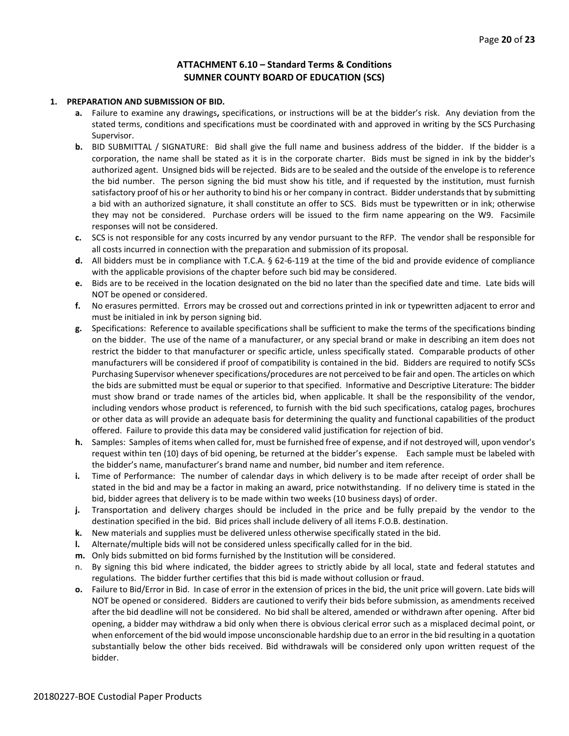# **ATTACHMENT 6.10 – Standard Terms & Conditions SUMNER COUNTY BOARD OF EDUCATION (SCS)**

#### **1. PREPARATION AND SUBMISSION OF BID.**

- **a.** Failure to examine any drawings**,** specifications, or instructions will be at the bidder's risk. Any deviation from the stated terms, conditions and specifications must be coordinated with and approved in writing by the SCS Purchasing Supervisor.
- **b.** BID SUBMITTAL / SIGNATURE: Bid shall give the full name and business address of the bidder. If the bidder is a corporation, the name shall be stated as it is in the corporate charter. Bids must be signed in ink by the bidder's authorized agent. Unsigned bids will be rejected. Bids are to be sealed and the outside of the envelope is to reference the bid number. The person signing the bid must show his title, and if requested by the institution, must furnish satisfactory proof of his or her authority to bind his or her company in contract. Bidder understands that by submitting a bid with an authorized signature, it shall constitute an offer to SCS. Bids must be typewritten or in ink; otherwise they may not be considered. Purchase orders will be issued to the firm name appearing on the W9. Facsimile responses will not be considered.
- **c.** SCS is not responsible for any costs incurred by any vendor pursuant to the RFP. The vendor shall be responsible for all costs incurred in connection with the preparation and submission of its proposal.
- **d.** All bidders must be in compliance with T.C.A. § 62-6-119 at the time of the bid and provide evidence of compliance with the applicable provisions of the chapter before such bid may be considered.
- **e.** Bids are to be received in the location designated on the bid no later than the specified date and time. Late bids will NOT be opened or considered.
- **f.** No erasures permitted. Errors may be crossed out and corrections printed in ink or typewritten adjacent to error and must be initialed in ink by person signing bid.
- **g.** Specifications: Reference to available specifications shall be sufficient to make the terms of the specifications binding on the bidder. The use of the name of a manufacturer, or any special brand or make in describing an item does not restrict the bidder to that manufacturer or specific article, unless specifically stated. Comparable products of other manufacturers will be considered if proof of compatibility is contained in the bid. Bidders are required to notify SCSs Purchasing Supervisor whenever specifications/procedures are not perceived to be fair and open. The articles on which the bids are submitted must be equal or superior to that specified. Informative and Descriptive Literature: The bidder must show brand or trade names of the articles bid, when applicable. It shall be the responsibility of the vendor, including vendors whose product is referenced, to furnish with the bid such specifications, catalog pages, brochures or other data as will provide an adequate basis for determining the quality and functional capabilities of the product offered. Failure to provide this data may be considered valid justification for rejection of bid.
- **h.** Samples: Samples of items when called for, must be furnished free of expense, and if not destroyed will, upon vendor's request within ten (10) days of bid opening, be returned at the bidder's expense. Each sample must be labeled with the bidder's name, manufacturer's brand name and number, bid number and item reference.
- **i.** Time of Performance: The number of calendar days in which delivery is to be made after receipt of order shall be stated in the bid and may be a factor in making an award, price notwithstanding. If no delivery time is stated in the bid, bidder agrees that delivery is to be made within two weeks (10 business days) of order.
- **j.** Transportation and delivery charges should be included in the price and be fully prepaid by the vendor to the destination specified in the bid. Bid prices shall include delivery of all items F.O.B. destination.
- **k.** New materials and supplies must be delivered unless otherwise specifically stated in the bid.
- **l.** Alternate/multiple bids will not be considered unless specifically called for in the bid.
- **m.** Only bids submitted on bid forms furnished by the Institution will be considered.
- n. By signing this bid where indicated, the bidder agrees to strictly abide by all local, state and federal statutes and regulations. The bidder further certifies that this bid is made without collusion or fraud.
- **o.** Failure to Bid/Error in Bid. In case of error in the extension of prices in the bid, the unit price will govern. Late bids will NOT be opened or considered. Bidders are cautioned to verify their bids before submission, as amendments received after the bid deadline will not be considered. No bid shall be altered, amended or withdrawn after opening. After bid opening, a bidder may withdraw a bid only when there is obvious clerical error such as a misplaced decimal point, or when enforcement of the bid would impose unconscionable hardship due to an error in the bid resulting in a quotation substantially below the other bids received. Bid withdrawals will be considered only upon written request of the bidder.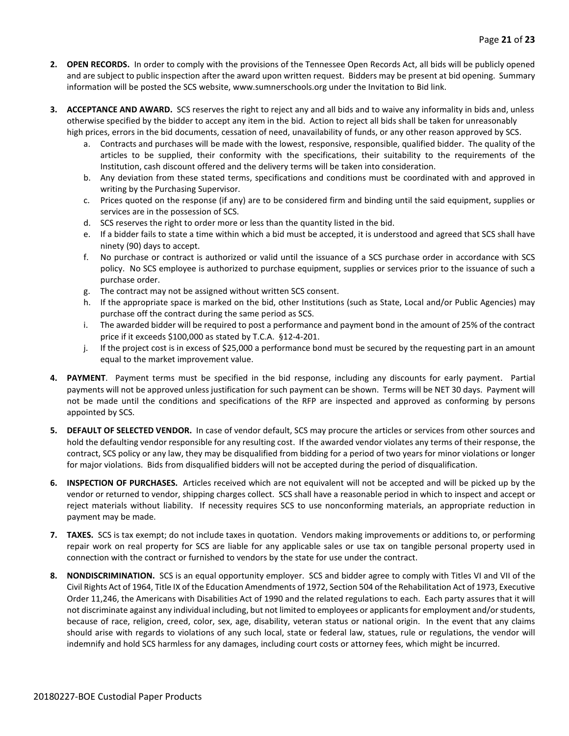- **2. OPEN RECORDS.** In order to comply with the provisions of the Tennessee Open Records Act, all bids will be publicly opened and are subject to public inspection after the award upon written request. Bidders may be present at bid opening. Summary information will be posted the SCS website, www.sumnerschools.org under the Invitation to Bid link.
- **3. ACCEPTANCE AND AWARD.** SCS reserves the right to reject any and all bids and to waive any informality in bids and, unless otherwise specified by the bidder to accept any item in the bid. Action to reject all bids shall be taken for unreasonably high prices, errors in the bid documents, cessation of need, unavailability of funds, or any other reason approved by SCS.
	- a. Contracts and purchases will be made with the lowest, responsive, responsible, qualified bidder. The quality of the articles to be supplied, their conformity with the specifications, their suitability to the requirements of the Institution, cash discount offered and the delivery terms will be taken into consideration.
	- b. Any deviation from these stated terms, specifications and conditions must be coordinated with and approved in writing by the Purchasing Supervisor.
	- c. Prices quoted on the response (if any) are to be considered firm and binding until the said equipment, supplies or services are in the possession of SCS.
	- d. SCS reserves the right to order more or less than the quantity listed in the bid.
	- e. If a bidder fails to state a time within which a bid must be accepted, it is understood and agreed that SCS shall have ninety (90) days to accept.
	- f. No purchase or contract is authorized or valid until the issuance of a SCS purchase order in accordance with SCS policy. No SCS employee is authorized to purchase equipment, supplies or services prior to the issuance of such a purchase order.
	- g. The contract may not be assigned without written SCS consent.
	- h. If the appropriate space is marked on the bid, other Institutions (such as State, Local and/or Public Agencies) may purchase off the contract during the same period as SCS.
	- i. The awarded bidder will be required to post a performance and payment bond in the amount of 25% of the contract price if it exceeds \$100,000 as stated by T.C.A. §12-4-201.
	- j. If the project cost is in excess of \$25,000 a performance bond must be secured by the requesting part in an amount equal to the market improvement value.
- **4. PAYMENT**. Payment terms must be specified in the bid response, including any discounts for early payment. Partial payments will not be approved unless justification for such payment can be shown. Terms will be NET 30 days. Payment will not be made until the conditions and specifications of the RFP are inspected and approved as conforming by persons appointed by SCS.
- **5. DEFAULT OF SELECTED VENDOR.** In case of vendor default, SCS may procure the articles or services from other sources and hold the defaulting vendor responsible for any resulting cost. If the awarded vendor violates any terms of their response, the contract, SCS policy or any law, they may be disqualified from bidding for a period of two years for minor violations or longer for major violations. Bids from disqualified bidders will not be accepted during the period of disqualification.
- **6. INSPECTION OF PURCHASES.** Articles received which are not equivalent will not be accepted and will be picked up by the vendor or returned to vendor, shipping charges collect. SCS shall have a reasonable period in which to inspect and accept or reject materials without liability. If necessity requires SCS to use nonconforming materials, an appropriate reduction in payment may be made.
- **7. TAXES.** SCS is tax exempt; do not include taxes in quotation. Vendors making improvements or additions to, or performing repair work on real property for SCS are liable for any applicable sales or use tax on tangible personal property used in connection with the contract or furnished to vendors by the state for use under the contract.
- **8. NONDISCRIMINATION.** SCS is an equal opportunity employer. SCS and bidder agree to comply with Titles VI and VII of the Civil Rights Act of 1964, Title IX of the Education Amendments of 1972, Section 504 of the Rehabilitation Act of 1973, Executive Order 11,246, the Americans with Disabilities Act of 1990 and the related regulations to each. Each party assures that it will not discriminate against any individual including, but not limited to employees or applicants for employment and/or students, because of race, religion, creed, color, sex, age, disability, veteran status or national origin. In the event that any claims should arise with regards to violations of any such local, state or federal law, statues, rule or regulations, the vendor will indemnify and hold SCS harmless for any damages, including court costs or attorney fees, which might be incurred.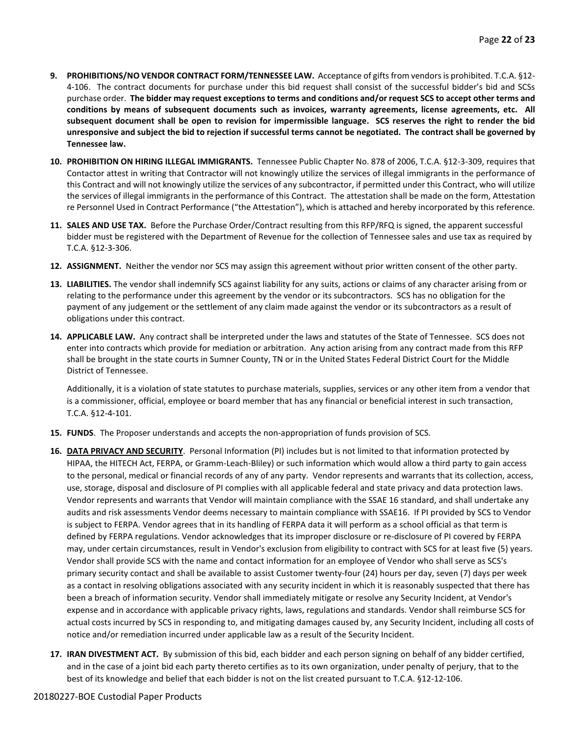- **9. PROHIBITIONS/NO VENDOR CONTRACT FORM/TENNESSEE LAW.** Acceptance of gifts from vendors is prohibited. T.C.A. §12- 4-106. The contract documents for purchase under this bid request shall consist of the successful bidder's bid and SCSs purchase order. **The bidder may request exceptions to terms and conditions and/or request SCS to accept other terms and conditions by means of subsequent documents such as invoices, warranty agreements, license agreements, etc. All subsequent document shall be open to revision for impermissible language. SCS reserves the right to render the bid unresponsive and subject the bid to rejection if successful terms cannot be negotiated. The contract shall be governed by Tennessee law.**
- **10. PROHIBITION ON HIRING ILLEGAL IMMIGRANTS.** Tennessee Public Chapter No. 878 of 2006, T.C.A. §12-3-309, requires that Contactor attest in writing that Contractor will not knowingly utilize the services of illegal immigrants in the performance of this Contract and will not knowingly utilize the services of any subcontractor, if permitted under this Contract, who will utilize the services of illegal immigrants in the performance of this Contract. The attestation shall be made on the form, Attestation re Personnel Used in Contract Performance ("the Attestation"), which is attached and hereby incorporated by this reference.
- **11. SALES AND USE TAX.** Before the Purchase Order/Contract resulting from this RFP/RFQ is signed, the apparent successful bidder must be registered with the Department of Revenue for the collection of Tennessee sales and use tax as required by T.C.A. §12-3-306.
- **12. ASSIGNMENT.** Neither the vendor nor SCS may assign this agreement without prior written consent of the other party.
- **13. LIABILITIES.** The vendor shall indemnify SCS against liability for any suits, actions or claims of any character arising from or relating to the performance under this agreement by the vendor or its subcontractors. SCS has no obligation for the payment of any judgement or the settlement of any claim made against the vendor or its subcontractors as a result of obligations under this contract.
- **14. APPLICABLE LAW.** Any contract shall be interpreted under the laws and statutes of the State of Tennessee. SCS does not enter into contracts which provide for mediation or arbitration. Any action arising from any contract made from this RFP shall be brought in the state courts in Sumner County, TN or in the United States Federal District Court for the Middle District of Tennessee.

Additionally, it is a violation of state statutes to purchase materials, supplies, services or any other item from a vendor that is a commissioner, official, employee or board member that has any financial or beneficial interest in such transaction, T.C.A. §12-4-101.

- **15. FUNDS**. The Proposer understands and accepts the non-appropriation of funds provision of SCS.
- **16. DATA PRIVACY AND SECURITY**. Personal Information (PI) includes but is not limited to that information protected by HIPAA, the HITECH Act, FERPA, or Gramm-Leach-Bliley) or such information which would allow a third party to gain access to the personal, medical or financial records of any of any party. Vendor represents and warrants that its collection, access, use, storage, disposal and disclosure of PI complies with all applicable federal and state privacy and data protection laws. Vendor represents and warrants that Vendor will maintain compliance with the SSAE 16 standard, and shall undertake any audits and risk assessments Vendor deems necessary to maintain compliance with SSAE16. If PI provided by SCS to Vendor is subject to FERPA. Vendor agrees that in its handling of FERPA data it will perform as a school official as that term is defined by FERPA regulations. Vendor acknowledges that its improper disclosure or re-disclosure of PI covered by FERPA may, under certain circumstances, result in Vendor's exclusion from eligibility to contract with SCS for at least five (5) years. Vendor shall provide SCS with the name and contact information for an employee of Vendor who shall serve as SCS's primary security contact and shall be available to assist Customer twenty-four (24) hours per day, seven (7) days per week as a contact in resolving obligations associated with any security incident in which it is reasonably suspected that there has been a breach of information security. Vendor shall immediately mitigate or resolve any Security Incident, at Vendor's expense and in accordance with applicable privacy rights, laws, regulations and standards. Vendor shall reimburse SCS for actual costs incurred by SCS in responding to, and mitigating damages caused by, any Security Incident, including all costs of notice and/or remediation incurred under applicable law as a result of the Security Incident.
- **17. IRAN DIVESTMENT ACT.** By submission of this bid, each bidder and each person signing on behalf of any bidder certified, and in the case of a joint bid each party thereto certifies as to its own organization, under penalty of perjury, that to the best of its knowledge and belief that each bidder is not on the list created pursuant to T.C.A. §12-12-106.